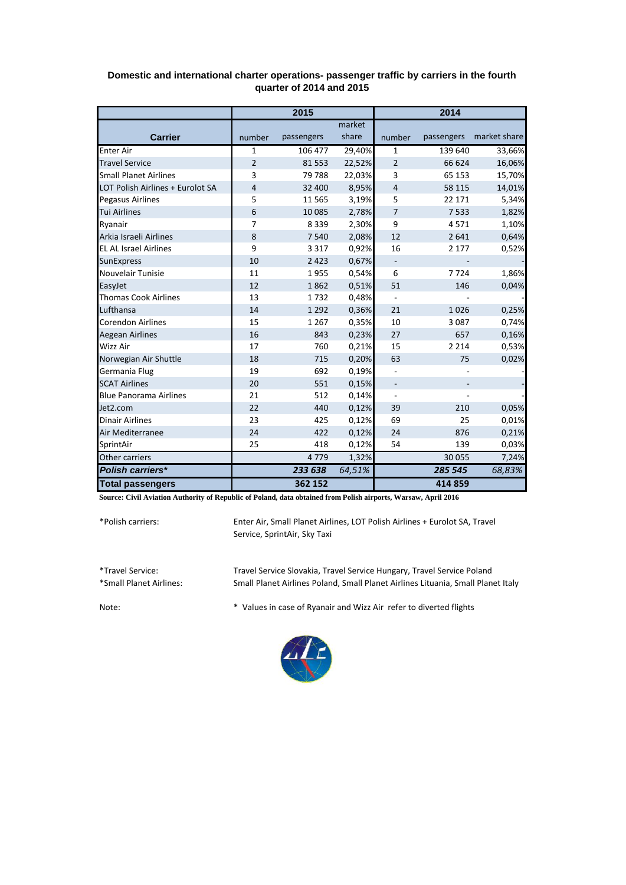|                                  | 2015           |            |        | 2014                     |            |              |
|----------------------------------|----------------|------------|--------|--------------------------|------------|--------------|
|                                  |                |            | market |                          |            |              |
| <b>Carrier</b>                   | number         | passengers | share  | number                   | passengers | market share |
| <b>Enter Air</b>                 | 1              | 106 477    | 29,40% | 1                        | 139 640    | 33,66%       |
| <b>Travel Service</b>            | $\overline{2}$ | 81553      | 22,52% | $\overline{2}$           | 66 624     | 16,06%       |
| <b>Small Planet Airlines</b>     | 3              | 79788      | 22,03% | 3                        | 65 153     | 15,70%       |
| LOT Polish Airlines + Eurolot SA | 4              | 32 400     | 8,95%  | $\overline{4}$           | 58 115     | 14,01%       |
| <b>Pegasus Airlines</b>          | 5              | 11 5 6 5   | 3,19%  | 5                        | 22 17 1    | 5,34%        |
| <b>Tui Airlines</b>              | 6              | 10 0 85    | 2,78%  | $\overline{7}$           | 7533       | 1,82%        |
| Ryanair                          | $\overline{7}$ | 8339       | 2,30%  | 9                        | 4571       | 1,10%        |
| Arkia Israeli Airlines           | 8              | 7540       | 2,08%  | 12                       | 2 6 4 1    | 0,64%        |
| <b>EL AL Israel Airlines</b>     | 9              | 3 3 1 7    | 0,92%  | 16                       | 2 1 7 7    | 0,52%        |
| <b>SunExpress</b>                | 10             | 2 4 2 3    | 0,67%  | $\overline{\phantom{0}}$ |            |              |
| Nouvelair Tunisie                | 11             | 1955       | 0,54%  | 6                        | 7724       | 1,86%        |
| EasyJet                          | 12             | 1862       | 0,51%  | 51                       | 146        | 0,04%        |
| <b>Thomas Cook Airlines</b>      | 13             | 1732       | 0,48%  | $\overline{\phantom{a}}$ |            |              |
| Lufthansa                        | 14             | 1 2 9 2    | 0,36%  | 21                       | 1026       | 0,25%        |
| <b>Corendon Airlines</b>         | 15             | 1 2 6 7    | 0,35%  | 10                       | 3 0 8 7    | 0,74%        |
| <b>Aegean Airlines</b>           | 16             | 843        | 0,23%  | 27                       | 657        | 0,16%        |
| Wizz Air                         | 17             | 760        | 0,21%  | 15                       | 2 2 1 4    | 0,53%        |
| Norwegian Air Shuttle            | 18             | 715        | 0,20%  | 63                       | 75         | 0,02%        |
| Germania Flug                    | 19             | 692        | 0,19%  | $\overline{\phantom{0}}$ |            |              |
| <b>SCAT Airlines</b>             | 20             | 551        | 0,15%  | $\overline{\phantom{a}}$ |            |              |
| <b>Blue Panorama Airlines</b>    | 21             | 512        | 0,14%  | $\overline{a}$           |            |              |
| Jet2.com                         | 22             | 440        | 0,12%  | 39                       | 210        | 0,05%        |
| <b>Dinair Airlines</b>           | 23             | 425        | 0,12%  | 69                       | 25         | 0,01%        |
| Air Mediterranee                 | 24             | 422        | 0,12%  | 24                       | 876        | 0,21%        |
| SprintAir                        | 25             | 418        | 0,12%  | 54                       | 139        | 0,03%        |
| Other carriers                   |                | 4779       | 1,32%  |                          | 30 055     | 7,24%        |
| Polish carriers*                 |                | 233 638    | 64,51% |                          | 285 545    | 68,83%       |
| <b>Total passengers</b>          |                | 362 152    |        |                          | 414 859    |              |

## **Domestic and international charter operations- passenger traffic by carriers in the fourth quarter of 2014 and 2015**

**Source: Civil Aviation Authority of Republic of Poland, data obtained from Polish airports, Warsaw, April 2016**

\*Polish carriers:

Enter Air, Small Planet Airlines, LOT Polish Airlines + Eurolot SA, Travel Service, SprintAir, Sky Taxi

\*Travel Service: Travel Service Slovakia, Travel Service Hungary, Travel Service Poland Small Planet Airlines Poland, Small Planet Airlines Lituania, Small Planet Italy

Note: \* Values in case of Ryanair and Wizz Air refer to diverted flights